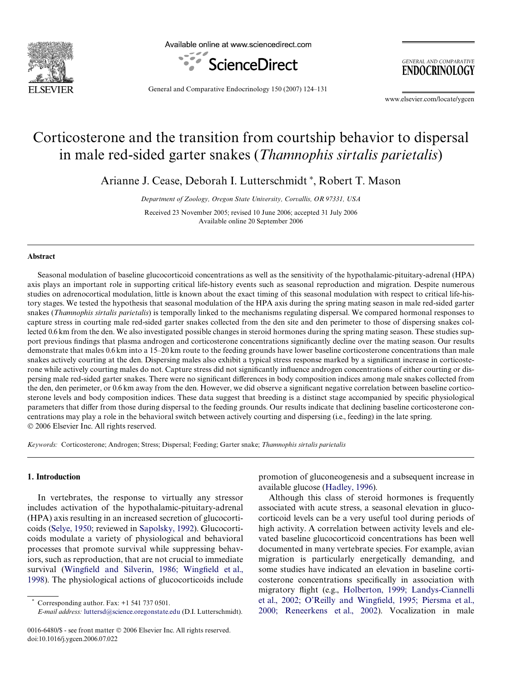

Available online at www.sciencedirect.com



**GENERAL AND COMPARATIVE ENDOCRINOLOGY** 

General and Comparative Endocrinology 150 (2007) 124–131

www.elsevier.com/locate/ygcen

# Corticosterone and the transition from courtship behavior to dispersal in male red-sided garter snakes (*Thamnophis sirtalis parietalis*)

Arianne J. Cease, Deborah I. Lutterschmidt\*, Robert T. Mason

*Department of Zoology, Oregon State University, Corvallis, OR 97331, USA*

Received 23 November 2005; revised 10 June 2006; accepted 31 July 2006 Available online 20 September 2006

## **Abstract**

Seasonal modulation of baseline glucocorticoid concentrations as well as the sensitivity of the hypothalamic-pituitary-adrenal (HPA) axis plays an important role in supporting critical life-history events such as seasonal reproduction and migration. Despite numerous studies on adrenocortical modulation, little is known about the exact timing of this seasonal modulation with respect to critical life-history stages. We tested the hypothesis that seasonal modulation of the HPA axis during the spring mating season in male red-sided garter snakes (*Thamnophis sirtalis parietalis*) is temporally linked to the mechanisms regulating dispersal. We compared hormonal responses to capture stress in courting male red-sided garter snakes collected from the den site and den perimeter to those of dispersing snakes collected 0.6 km from the den. We also investigated possible changes in steroid hormones during the spring mating season. These studies support previous findings that plasma androgen and corticosterone concentrations significantly decline over the mating season. Our results demonstrate that males 0.6 km into a 15–20 km route to the feeding grounds have lower baseline corticosterone concentrations than male snakes actively courting at the den. Dispersing males also exhibit a typical stress response marked by a significant increase in corticosterone while actively courting males do not. Capture stress did not significantly influence androgen concentrations of either courting or dispersing male red-sided garter snakes. There were no significant differences in body composition indices among male snakes collected from the den, den perimeter, or 0.6 km away from the den. However, we did observe a significant negative correlation between baseline corticosterone levels and body composition indices. These data suggest that breeding is a distinct stage accompanied by specific physiological parameters that differ from those during dispersal to the feeding grounds. Our results indicate that declining baseline corticosterone concentrations may play a role in the behavioral switch between actively courting and dispersing (i.e., feeding) in the late spring. © 2006 Elsevier Inc. All rights reserved.

*Keywords:* Corticosterone; Androgen; Stress; Dispersal; Feeding; Garter snake; *Thamnophis sirtalis parietalis*

## **1. Introduction**

In vertebrates, the response to virtually any stressor includes activation of the hypothalamic-pituitary-adrenal (HPA) axis resulting in an increased secretion of glucocorticoids ([Selye, 1950;](#page-7-0) reviewed in [Sapolsky, 1992\)](#page-7-1). Glucocorticoids modulate a variety of physiological and behavioral processes that promote survival while suppressing behaviors, such as reproduction, that are not crucial to immediate survival ([Wing](#page-7-2)field and Silverin, 1986; [W](#page-7-2)ingfi[eld et al.,](#page-7-2) [1998\)](#page-7-2). The physiological actions of glucocorticoids include

*E-mail address:* [luttersd@science.oregonstate.edu](mailto: luttersd@science.oregonstate.edu) (D.I. Lutterschmidt).

promotion of gluconeogenesis and a subsequent increase in available glucose ([Hadley, 1996\)](#page-6-0).

Although this class of steroid hormones is frequently associated with acute stress, a seasonal elevation in glucocorticoid levels can be a very useful tool during periods of high activity. A correlation between activity levels and elevated baseline glucocorticoid concentrations has been well documented in many vertebrate species. For example, avian migration is particularly energetically demanding, and some studies have indicated an elevation in baseline corticosterone concentrations specifically in association with migratory flight (e.g., [Holberton, 1999; Landys-Ciannelli](#page-6-1) [et al., 2002; O'Reilly and Wing](#page-6-1)fi[eld, 1995; Piersma et al.,](#page-6-1) [2000; Reneerkens et al., 2002](#page-6-1)). Vocalization in male

Corresponding author. Fax:  $+1$  541 737 0501.

<sup>0016-6480/\$ -</sup> see front matter © 2006 Elsevier Inc. All rights reserved. doi:10.1016/j.ygcen.2006.07.022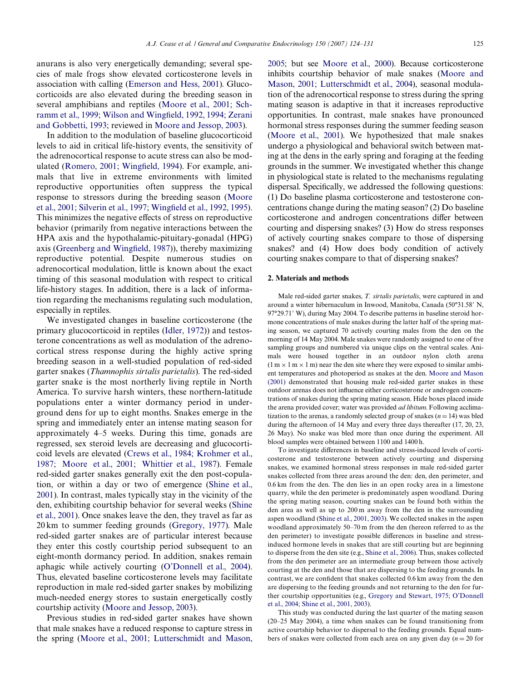anurans is also very energetically demanding; several species of male frogs show elevated corticosterone levels in association with calling ([Emerson and Hess, 2001\)](#page-6-2). Glucocorticoids are also elevated during the breeding season in several amphibians and reptiles [\(Moore et al., 2001; Sch](#page-7-3)[ramm et al., 1999; Wilson and Wing](#page-7-3)fi[eld, 1992, 1994; Zerani](#page-7-3) [and Gobbetti, 1993](#page-7-3); reviewed in [Moore and Jessop, 2003\)](#page-7-4).

In addition to the modulation of baseline glucocorticoid levels to aid in critical life-history events, the sensitivity of the adrenocortical response to acute stress can also be mod-ulated ([Romero, 2001; Wing](#page-7-5)fi[eld, 1994\)](#page-7-5). For example, animals that live in extreme environments with limited reproductive opportunities often suppress the typical response to stressors during the breeding season ([Moore](#page-7-3) [et al., 2001; Silverin et al., 1997; Wing](#page-7-3)fi[eld et al., 1992, 1995\)](#page-7-3). This minimizes the negative effects of stress on reproductive behavior (primarily from negative interactions between the HPA axis and the hypothalamic-pituitary-gonadal (HPG) axis [\(Greenberg and Wing](#page-6-3)fi[eld, 1987](#page-6-3))), thereby maximizing reproductive potential. Despite numerous studies on adrenocortical modulation, little is known about the exact timing of this seasonal modulation with respect to critical life-history stages. In addition, there is a lack of information regarding the mechanisms regulating such modulation, especially in reptiles.

We investigated changes in baseline corticosterone (the primary glucocorticoid in reptiles [\(Idler, 1972\)](#page-6-4)) and testosterone concentrations as well as modulation of the adrenocortical stress response during the highly active spring breeding season in a well-studied population of red-sided garter snakes (*Thamnophis sirtalis parietalis*). The red-sided garter snake is the most northerly living reptile in North America. To survive harsh winters, these northern-latitude populations enter a winter dormancy period in underground dens for up to eight months. Snakes emerge in the spring and immediately enter an intense mating season for approximately 4–5 weeks. During this time, gonads are regressed, sex steroid levels are decreasing and glucocorticoid levels are elevated ([Crews et al., 1984; Krohmer et al.,](#page-6-5) [1987; Moore et al., 2001; Whittier et al., 1987\)](#page-6-5). Female red-sided garter snakes generally exit the den post-copulation, or within a day or two of emergence [\(Shine et al.,](#page-7-6) [2001\)](#page-7-6). In contrast, males typically stay in the vicinity of the den, exhibiting courtship behavior for several weeks [\(Shine](#page-7-6) [et al., 2001](#page-7-6)). Once snakes leave the den, they travel as far as 20 km to summer feeding grounds [\(Gregory, 1977\)](#page-6-6). Male red-sided garter snakes are of particular interest because they enter this costly courtship period subsequent to an eight-month dormancy period. In addition, snakes remain aphagic while actively courting [\(O'Donnell et al., 2004\)](#page-7-7). Thus, elevated baseline corticosterone levels may facilitate reproduction in male red-sided garter snakes by mobilizing much-needed energy stores to sustain energetically costly courtship activity ([Moore and Jessop, 2003\)](#page-7-4).

Previous studies in red-sided garter snakes have shown that male snakes have a reduced response to capture stress in the spring [\(Moore et al., 2001; Lutterschmidt and Mason,](#page-7-3) [2005;](#page-7-3) but see [Moore et al., 2000\)](#page-7-8). Because corticosterone inhibits courtship behavior of male snakes [\(Moore and](#page-7-9) [Mason, 2001; Lutterschmidt et al., 2004\)](#page-7-9), seasonal modulation of the adrenocortical response to stress during the spring mating season is adaptive in that it increases reproductive opportunities. In contrast, male snakes have pronounced hormonal stress responses during the summer feeding season [\(Moore et al., 2001\)](#page-7-3). We hypothesized that male snakes undergo a physiological and behavioral switch between mating at the dens in the early spring and foraging at the feeding grounds in the summer. We investigated whether this change in physiological state is related to the mechanisms regulating dispersal. Specifically, we addressed the following questions: (1) Do baseline plasma corticosterone and testosterone concentrations change during the mating season? (2) Do baseline corticosterone and androgen concentrations differ between courting and dispersing snakes? (3) How do stress responses of actively courting snakes compare to those of dispersing snakes? and (4) How does body condition of actively courting snakes compare to that of dispersing snakes?

## **2. Materials and methods**

Male red-sided garter snakes, *T. sirtalis parietalis*, were captured in and around a winter hibernaculum in Inwood, Manitoba, Canada (50°31.58' N, 97°29.71′ W), during May 2004. To describe patterns in baseline steroid hormone concentrations of male snakes during the latter half of the spring mating season, we captured 70 actively courting males from the den on the morning of 14 May 2004. Male snakes were randomly assigned to one of five sampling groups and numbered via unique clips on the ventral scales. Animals were housed together in an outdoor nylon cloth arena  $(1 m \times 1 m \times 1 m)$  near the den site where they were exposed to similar ambient temperatures and photoperiod as snakes at the den. [Moore and Mason](#page-7-9) [\(2001\)](#page-7-9) demonstrated that housing male red-sided garter snakes in these outdoor arenas does not influence either corticosterone or androgen concentrations of snakes during the spring mating season. Hide boxes placed inside the arena provided cover; water was provided *ad libitum*. Following acclimatization to the arenas, a randomly selected group of snakes  $(n=14)$  was bled during the afternoon of 14 May and every three days thereafter (17, 20, 23, 26 May). No snake was bled more than once during the experiment. All blood samples were obtained between 1100 and 1400 h.

To investigate differences in baseline and stress-induced levels of corticosterone and testosterone between actively courting and dispersing snakes, we examined hormonal stress responses in male red-sided garter snakes collected from three areas around the den: den, den perimeter, and 0.6 km from the den. The den lies in an open rocky area in a limestone quarry, while the den perimeter is predominately aspen woodland. During the spring mating season, courting snakes can be found both within the den area as well as up to 200 m away from the den in the surrounding aspen woodland ([Shine et al., 2001, 2003\)](#page-7-6). We collected snakes in the aspen woodland approximately 50–70 m from the den (hereon referred to as the den perimeter) to investigate possible differences in baseline and stressinduced hormone levels in snakes that are still courting but are beginning to disperse from the den site (e.g., [Shine et al., 2006](#page-7-10)). Thus, snakes collected from the den perimeter are an intermediate group between those actively courting at the den and those that are dispersing to the feeding grounds. In contrast, we are confident that snakes collected 0.6 km away from the den are dispersing to the feeding grounds and not returning to the den for further courtship opportunities (e.g., [Gregory and Stewart, 1975; O'Donnell](#page-6-7) [et al., 2004; Shine et al., 2001, 2003](#page-6-7)).

This study was conducted during the last quarter of the mating season (20–25 May 2004), a time when snakes can be found transitioning from active courtship behavior to dispersal to the feeding grounds. Equal numbers of snakes were collected from each area on any given day  $(n = 20$  for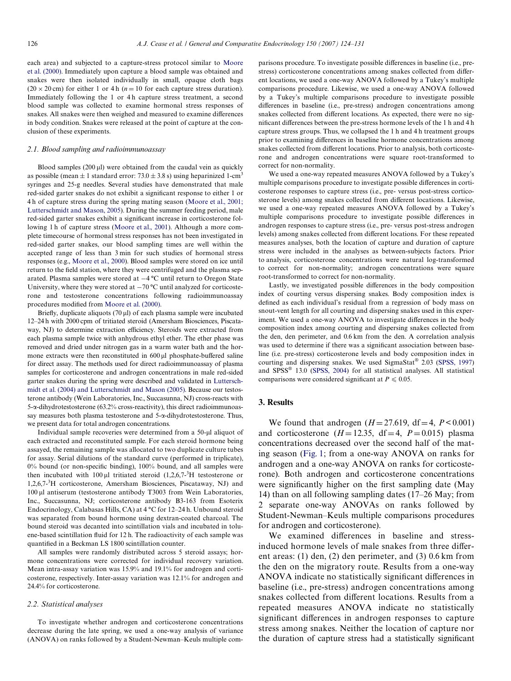each area) and subjected to a capture-stress protocol similar to [Moore](#page-7-8) [et al. \(2000\).](#page-7-8) Immediately upon capture a blood sample was obtained and snakes were then isolated individually in small, opaque cloth bags  $(20 \times 20 \text{ cm})$  for either 1 or 4 h ( $n = 10$  for each capture stress duration). Immediately following the 1 or 4h capture stress treatment, a second blood sample was collected to examine hormonal stress responses of snakes. All snakes were then weighed and measured to examine differences in body condition. Snakes were released at the point of capture at the conclusion of these experiments.

#### *2.1. Blood sampling and radioimmunoassay*

Blood samples  $(200 \,\mu$ ) were obtained from the caudal vein as quickly as possible (mean  $\pm 1$  standard error: 73.0  $\pm$  3.8 s) using heparinized 1-cm<sup>3</sup> syringes and 25-g needles. Several studies have demonstrated that male red-sided garter snakes do not exhibit a significant res[ponse to either 1 or](#page-7-3) 4 h of capture stress during the spring mating season (Moore et al., 2001; [Lutterschmidt and Mason, 2005\)](#page-7-3). During the summer feeding period, male red-sided garter snakes exhib[it](#page-7-3) a significant increase in corticosterone following 1 h of capture stress [\(Moore et al., 2001](#page-7-3)). Although a more complete timecourse of hormonal stress responses has not been investigated in red-sided garter snakes, our blood sampling times are well within the accepted range of less than 3 min for such studies of hormonal stress responses (e.g., [Moore et al., 2000](#page-7-8)). Blood samples were stored on ice until return to the field station, where they were centrifuged and the plasma separated. Plasma samples were stored at  $-4^{\circ}$ C until return to Oregon State University, where they were stored at  $-70$  °C until analyzed for corticosterone and testosterone concentrations following radioimmunoassay procedures modified from [Moore et al. \(2000\).](#page-7-8)

Briefly, duplicate aliquots (70 µl) of each plasma sample were incubated 12–24 h with 2000 cpm of tritiated steroid (Amersham Biosciences, Piscataway, NJ) to determine extraction efficiency. Steroids were extracted from each plasma sample twice with anhydrous ethyl ether. The ether phase was removed and dried under nitrogen gas in a warm water bath and the hormone extracts were then reconstituted in 600 µl phosphate-buffered saline for direct assay. The methods used for direct radioimmunoassay of plasma samples for corticosterone and androgen concentrations in male red-sided garter snakes during the spring were described and validated in [Luttersch](#page-7-11)[midt et al. \(2004\) and Lutterschmidt and Mason \(2005\).](#page-7-11) Because our testosterone antibody (Wein Laboratories, Inc., Succasunna, NJ) cross-reacts with  $5$ - $\alpha$ -dihydrotestosterone (63.2% cross-reactivity), this direct radioimmunoassay measures both plasma testosterone and  $5-\alpha$ -dihydrotestosterone. Thus, we present data for total androgen concentrations.

Individual sample recoveries were determined from a 50-µl aliquot of each extracted and reconstituted sample. For each steroid hormone being assayed, the remaining sample was allocated to two duplicate culture tubes for assay. Serial dilutions of the standard curve (performed in triplicate),  $0\%$  bound (or non-specific binding),  $100\%$  bound, and all samples were then incubated with 100  $\mu$ l tritiated steroid (1,2,6,7-<sup>3</sup>H testosterone or 1,2,6,7-<sup>3</sup> H corticosterone, Amersham Biosciences, Piscataway, NJ) and 100 µl antiserum (testosterone antibody T3003 from Wein Laboratories, Inc., Succasunna, NJ; corticosterone antibody B3-163 from Esoterix Endocrinology, Calabasas Hills, CA) at 4 °C for 12–24 h. Unbound steroid was separated from bound hormone using dextran-coated charcoal. The bound steroid was decanted into scintillation vials and incubated in toluene-based scintillation fluid for 12 h. The radioactivity of each sample was quantified in a Beckman LS 1800 scintillation counter.

All samples were randomly distributed across 5 steroid assays; hormone concentrations were corrected for individual recovery variation. Mean intra-assay variation was 15.9% and 19.1% for androgen and corticosterone, respectively. Inter-assay variation was 12.1% for androgen and 24.4% for corticosterone.

#### *2.2. Statistical analyses*

To investigate whether androgen and corticosterone concentrations decrease during the late spring, we used a one-way analysis of variance (ANOVA) on ranks followed by a Student-Newman–Keuls multiple com-

parisons procedure. To investigate possible differences in baseline (i.e., prestress) corticosterone concentrations among snakes collected from different locations, we used a one-way ANOVA followed by a Tukey's multiple comparisons procedure. Likewise, we used a one-way ANOVA followed by a Tukey's multiple comparisons procedure to investigate possible differences in baseline (i.e., pre-stress) androgen concentrations among snakes collected from different locations. As expected, there were no significant differences between the pre-stress hormone levels of the 1 h and 4 h capture stress groups. Thus, we collapsed the 1 h and 4 h treatment groups prior to examining differences in baseline hormone concentrations among snakes collected from different locations. Prior to analysis, both corticosterone and androgen concentrations were square root-transformed to correct for non-normality.

We used a one-way repeated measures ANOVA followed by a Tukey's multiple comparisons procedure to investigate possible differences in corticosterone responses to capture stress (i.e., pre- versus post-stress corticosterone levels) among snakes collected from different locations. Likewise, we used a one-way repeated measures ANOVA followed by a Tukey's multiple comparisons procedure to investigate possible differences in androgen responses to capture stress (i.e., pre- versus post-stress androgen levels) among snakes collected from different locations. For these repeated measures analyses, both the location of capture and duration of capture stress were included in the analyses as between-subjects factors. Prior to analysis, corticosterone concentrations were natural log-transformed to correct for non-normality; androgen concentrations were square root-transformed to correct for non-normality.

Lastly, we investigated possible differences in the body composition index of courting versus dispersing snakes. Body composition index is defined as each individual's residual from a regression of body mass on snout-vent length for all courting and dispersing snakes used in this experiment. We used a one-way ANOVA to investigate differences in the body composition index among courting and dispersing snakes collected from the den, den perimeter, and 0.6 km from the den. A correlation analysis was used to determine if there was a significant association between baseline (i.e. pre-stress) corticosterone levels and body composition index in courting and dispersing snakes. We used SigmaStat® 2.03 ([SPSS, 1997](#page-7-12)) and SPSS® 13.0 [\(SPSS, 2004\)](#page-7-13) for all statistical analyses. All statistical comparisons were considered significant at  $P \le 0.05$ .

## **3. Results**

We found that androgen  $(H = 27.619, df = 4, P < 0.001)$ and corticosterone  $(H = 12.35, df = 4, P = 0.015)$  plasma concentrations decreased over the second half of the mating season [\(Fig. 1](#page-3-0); from a one-way ANOVA on ranks for androgen and a one-way ANOVA on ranks for corticosterone). Both androgen and corticosterone concentrations were significantly higher on the first sampling date (May 14) than on all following sampling dates (17–26 May; from 2 separate one-way ANOVAs on ranks followed by Student-Newman–Keuls multiple comparisons procedures for androgen and corticosterone).

We examined differences in baseline and stressinduced hormone levels of male snakes from three different areas: (1) den, (2) den perimeter, and (3) 0.6 km from the den on the migratory route. Results from a one-way ANOVA indicate no statistically significant differences in baseline (i.e., pre-stress) androgen concentrations among snakes collected from different locations. Results from a repeated measures ANOVA indicate no statistically significant differences in androgen responses to capture stress among snakes. Neither the location of capture nor the duration of capture stress had a statistically significant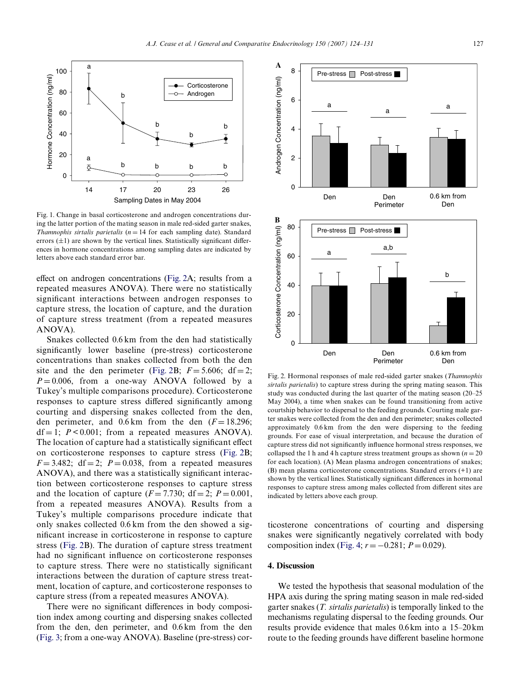

<span id="page-3-0"></span>Fig. 1. Change in basal corticosterone and androgen concentrations during the latter portion of the mating season in male red-sided garter snakes, *Thamnophis sirtalis parietalis* ( $n = 14$  for each sampling date). Standard errors  $(\pm 1)$  are shown by the vertical lines. Statistically significant differences in hormone concentrations among sampling dates are indicated by letters above each standard error bar.

effect on androgen concentrations (Fig.  $2A$ ; results from a repeated measures ANOVA). There were no statistically significant interactions between androgen responses to capture stress, the location of capture, and the duration of capture stress treatment (from a repeated measures ANOVA).

Snakes collected 0.6 km from the den had statistically significantly lower baseline (pre-stress) corticosterone concentrations than snakes collected from both the den site and the den perimeter [\(Fig. 2B](#page-3-1);  $F = 5.606$ ; df = 2;  $P = 0.006$ , from a one-way ANOVA followed by a Tukey's multiple comparisons procedure). Corticosterone responses to capture stress differed significantly among courting and dispersing snakes collected from the den, den perimeter, and  $0.6 \text{ km}$  from the den  $(F=18.296)$ ;  $df = 1$ ;  $P < 0.001$ ; from a repeated measures ANOVA). The location of capture had a statistically significant effect on corticosterone responses to capture stress ([Fig. 2](#page-3-1)B;  $F = 3.482$ ; df = 2;  $P = 0.038$ , from a repeated measures ANOVA), and there was a statistically significant interaction between corticosterone responses to capture stress and the location of capture  $(F = 7.730; df = 2; P = 0.001$ , from a repeated measures ANOVA). Results from a Tukey's multiple comparisons procedure indicate that only snakes collected 0.6 km from the den showed a significant increase in corticosterone in response to capture stress [\(Fig. 2B](#page-3-1)). The duration of capture stress treatment had no significant influence on corticosterone responses to capture stress. There were no statistically significant interactions between the duration of capture stress treatment, location of capture, and corticosterone responses to capture stress (from a repeated measures ANOVA).

There were no significant differences in body composition index among courting and dispersing snakes collected from the den, den perimeter, and 0.6 km from the den ([Fig. 3;](#page-4-0) from a one-way ANOVA). Baseline (pre-stress) cor-



<span id="page-3-1"></span>Fig. 2. Hormonal responses of male red-sided garter snakes (*Thamnophis sirtalis parietalis*) to capture stress during the spring mating season. This study was conducted during the last quarter of the mating season (20–25 May 2004), a time when snakes can be found transitioning from active courtship behavior to dispersal to the feeding grounds. Courting male garter snakes were collected from the den and den perimeter; snakes collected approximately 0.6 km from the den were dispersing to the feeding grounds. For ease of visual interpretation, and because the duration of capture stress did not significantly influence hormonal stress responses, we collapsed the 1 h and 4 h capture stress treatment groups as shown  $(n = 20)$ for each location). (A) Mean plasma androgen concentrations of snakes; (B) mean plasma corticosterone concentrations. Standard errors (+1) are shown by the vertical lines. Statistically significant differences in hormonal responses to capture stress among males collected from different sites are indicated by letters above each group.

ticosterone concentrations of courting and dispersing snakes were significantly negatively correlated with body composition index [\(Fig. 4](#page-4-1);  $r = -0.281$ ;  $P = 0.029$ ).

# **4. Discussion**

We tested the hypothesis that seasonal modulation of the HPA axis during the spring mating season in male red-sided garter snakes (*T. sirtalis parietalis*) is temporally linked to the mechanisms regulating dispersal to the feeding grounds. Our results provide evidence that males 0.6 km into a 15–20km route to the feeding grounds have different baseline hormone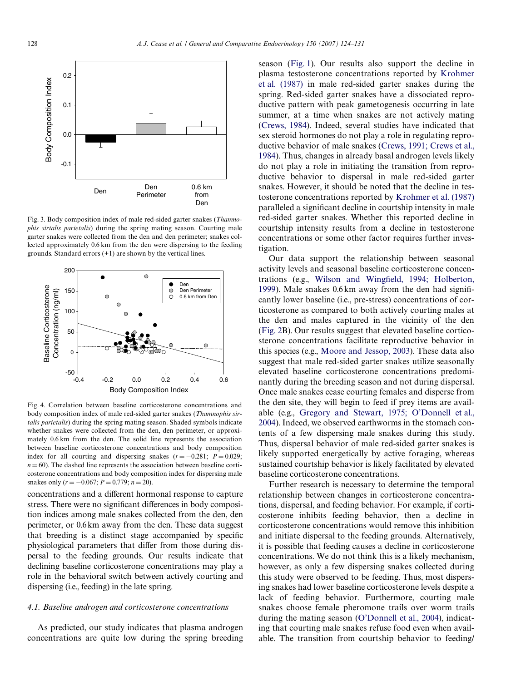

<span id="page-4-0"></span>Fig. 3. Body composition index of male red-sided garter snakes (*Thamnophis sirtalis parietalis*) during the spring mating season. Courting male garter snakes were collected from the den and den perimeter; snakes collected approximately 0.6 km from the den were dispersing to the feeding grounds. Standard errors (+1) are shown by the vertical lines.



<span id="page-4-1"></span>Fig. 4. Correlation between baseline corticosterone concentrations and body composition index of male red-sided garter snakes (*Thamnophis sirtalis parietalis*) during the spring mating season. Shaded symbols indicate whether snakes were collected from the den, den perimeter, or approximately 0.6 km from the den. The solid line represents the association between baseline corticosterone concentrations and body composition index for all courting and dispersing snakes  $(r = -0.281; P = 0.029;$  $n = 60$ ). The dashed line represents the association between baseline corticosterone concentrations and body composition index for dispersing male snakes only  $(r = -0.067; P = 0.779; n = 20)$ .

concentrations and a different hormonal response to capture stress. There were no significant differences in body composition indices among male snakes collected from the den, den perimeter, or 0.6km away from the den. These data suggest that breeding is a distinct stage accompanied by specific physiological parameters that differ from those during dispersal to the feeding grounds. Our results indicate that declining baseline corticosterone concentrations may play a role in the behavioral switch between actively courting and dispersing (i.e., feeding) in the late spring.

# *4.1. Baseline androgen and corticosterone concentrations*

As predicted, our study indicates that plasma androgen concentrations are quite low during the spring breeding

season [\(Fig. 1](#page-3-0)). Our results also support the decline in plasma testosterone concentrations reported by [Krohmer](#page-6-8) [et al. \(1987\)](#page-6-8) in male red-sided garter snakes during the spring. Red-sided garter snakes have a dissociated reproductive pattern with peak gametogenesis occurring in late summer, at a time when snakes are not actively mating ([Crews, 1984](#page-6-9)). Indeed, several studies have indicated that sex steroid hormones do not play a role in regulating reproductive behavior of male snakes [\(Crews, 1991; Crews et al.,](#page-6-10) [1984](#page-6-10)). Thus, changes in already basal androgen levels likely do not play a role in initiating the transition from reproductive behavior to dispersal in male red-sided garter snakes. However, it should be noted that the decline in testosterone concentrations reported by [Krohmer et al. \(1987\)](#page-6-8) paralleled a significant decline in courtship intensity in male red-sided garter snakes. Whether this reported decline in courtship intensity results from a decline in testosterone concentrations or some other factor requires further investigation.

Our data support the relationship between seasonal activity levels and seasonal baseline corticosterone concen-trations (e.g., [Wilson and Wing](#page-7-14)fi[eld, 1994; Holberton,](#page-7-14) [1999](#page-7-14)). Male snakes  $0.6 \text{ km}$  away from the den had significantly lower baseline (i.e., pre-stress) concentrations of corticosterone as compared to both actively courting males at the den and males captured in the vicinity of the den ([Fig. 2B](#page-3-1)). Our results suggest that elevated baseline corticosterone concentrations facilitate reproductive behavior in this species (e.g., [Moore and Jessop, 2003\)](#page-7-4). These data also suggest that male red-sided garter snakes utilize seasonally elevated baseline corticosterone concentrations predominantly during the breeding season and not during dispersal. Once male snakes cease courting females and disperse from the den site, they will begin to feed if prey items are available (e.g., [Gregory and Stewart, 1975; O'Donnell et al.,](#page-6-7) [2004](#page-6-7)). Indeed, we observed earthworms in the stomach contents of a few dispersing male snakes during this study. Thus, dispersal behavior of male red-sided garter snakes is likely supported energetically by active foraging, whereas sustained courtship behavior is likely facilitated by elevated baseline corticosterone concentrations.

Further research is necessary to determine the temporal relationship between changes in corticosterone concentrations, dispersal, and feeding behavior. For example, if corticosterone inhibits feeding behavior, then a decline in corticosterone concentrations would remove this inhibition and initiate dispersal to the feeding grounds. Alternatively, it is possible that feeding causes a decline in corticosterone concentrations. We do not think this is a likely mechanism, however, as only a few dispersing snakes collected during this study were observed to be feeding. Thus, most dispersing snakes had lower baseline corticosterone levels despite a lack of feeding behavior. Furthermore, courting male snakes choose female pheromone trails over worm trails during the mating season [\(O'Donnell et al., 2004](#page-7-7)), indicating that courting male snakes refuse food even when available. The transition from courtship behavior to feeding/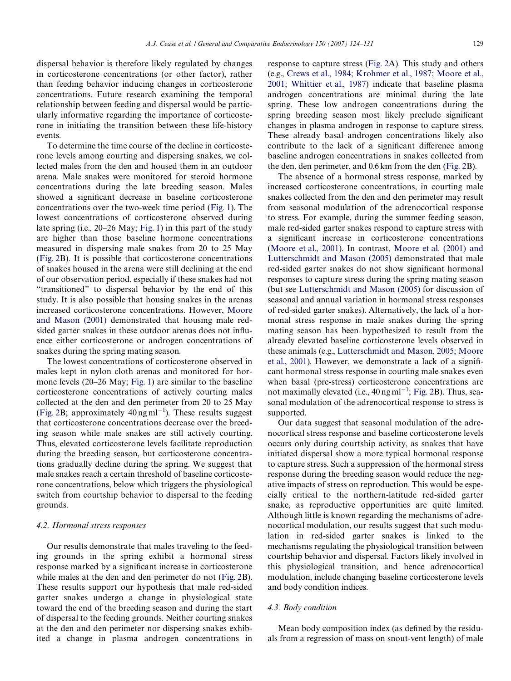dispersal behavior is therefore likely regulated by changes in corticosterone concentrations (or other factor), rather than feeding behavior inducing changes in corticosterone concentrations. Future research examining the temporal relationship between feeding and dispersal would be particularly informative regarding the importance of corticosterone in initiating the transition between these life-history events.

To determine the time course of the decline in corticosterone levels among courting and dispersing snakes, we collected males from the den and housed them in an outdoor arena. Male snakes were monitored for steroid hormone concentrations during the late breeding season. Males showed a significant decrease in baseline corticosterone concentrations over the two-week time period [\(Fig. 1](#page-3-0)). The lowest concentrations of corticosterone observed during late spring (i.e., 20–26 May; [Fig. 1\)](#page-3-0) in this part of the study are higher than those baseline hormone concentrations measured in dispersing male snakes from 20 to 25 May ([Fig. 2B](#page-3-1)). It is possible that corticosterone concentrations of snakes housed in the arena were still declining at the end of our observation period, especially if these snakes had not "transitioned" to dispersal behavior by the end of this study. It is also possible that housing snakes in the arenas increased corticosterone concentrations. However, [Moore](#page-7-9) [and Mason \(2001\)](#page-7-9) demonstrated that housing male redsided garter snakes in these outdoor arenas does not influence either corticosterone or androgen concentrations of snakes during the spring mating season.

The lowest concentrations of corticosterone observed in males kept in nylon cloth arenas and monitored for hormone levels (20–26 May; [Fig. 1\)](#page-3-0) are similar to the baseline corticosterone concentrations of actively courting males collected at the den and den perimeter from 20 to 25 May ([Fig. 2B](#page-3-1); approximately  $40 \text{ ng} \text{ ml}^{-1}$ ). These results suggest that corticosterone concentrations decrease over the breeding season while male snakes are still actively courting. Thus, elevated corticosterone levels facilitate reproduction during the breeding season, but corticosterone concentrations gradually decline during the spring. We suggest that male snakes reach a certain threshold of baseline corticosterone concentrations, below which triggers the physiological switch from courtship behavior to dispersal to the feeding grounds.

## *4.2. Hormonal stress responses*

Our results demonstrate that males traveling to the feeding grounds in the spring exhibit a hormonal stress response marked by a significant increase in corticosterone while males at the den and den perimeter do not [\(Fig. 2B](#page-3-1)). These results support our hypothesis that male red-sided garter snakes undergo a change in physiological state toward the end of the breeding season and during the start of dispersal to the feeding grounds. Neither courting snakes at the den and den perimeter nor dispersing snakes exhibited a change in plasma androgen concentrations in

response to capture stress [\(Fig. 2A](#page-3-1)). This study and others (e.g., [Crews et al., 1984; Krohmer et al., 1987; Moore et al.,](#page-6-5) [2001; Whittier et al., 1987](#page-6-5)) indicate that baseline plasma androgen concentrations are minimal during the late spring. These low androgen concentrations during the spring breeding season most likely preclude significant changes in plasma androgen in response to capture stress. These already basal androgen concentrations likely also contribute to the lack of a significant difference among baseline androgen concentrations in snakes collected from the den, den perimeter, and 0.6 km from the den ([Fig. 2B](#page-3-1)).

The absence of a hormonal stress response, marked by increased corticosterone concentrations, in courting male snakes collected from the den and den perimeter may result from seasonal modulation of the adrenocortical response to stress. For example, during the summer feeding season, male red-sided garter snakes respond to capture stress with a significant increase in corticosterone concentrations [\(Moore et al., 2001\)](#page-7-3). In contrast, [Moore et al. \(2001\) and](#page-7-3) [Lutterschmidt and Mason \(2005\)](#page-7-3) demonstrated that male red-sided garter snakes do not show significant hormonal responses to capture stress during the spring mating season (but see [Lutterschmidt and Mason \(2005\)](#page-6-11) for discussion of seasonal and annual variation in hormonal stress responses of red-sided garter snakes). Alternatively, the lack of a hormonal stress response in male snakes during the spring mating season has been hypothesized to result from the already elevated baseline corticosterone levels observed in these animals (e.g., [Lutterschmidt and Mason, 2005; Moore](#page-6-11) [et al., 2001\)](#page-6-11). However, we demonstrate a lack of a significant hormonal stress response in courting male snakes even when basal (pre-stress) corticosterone concentrations are not maximally elevated (i.e.,  $40 \text{ ng} \text{ ml}^{-1}$ ; [Fig. 2B](#page-3-1)). Thus, seasonal modulation of the adrenocortical response to stress is supported.

Our data suggest that seasonal modulation of the adrenocortical stress response and baseline corticosterone levels occurs only during courtship activity, as snakes that have initiated dispersal show a more typical hormonal response to capture stress. Such a suppression of the hormonal stress response during the breeding season would reduce the negative impacts of stress on reproduction. This would be especially critical to the northern-latitude red-sided garter snake, as reproductive opportunities are quite limited. Although little is known regarding the mechanisms of adrenocortical modulation, our results suggest that such modulation in red-sided garter snakes is linked to the mechanisms regulating the physiological transition between courtship behavior and dispersal. Factors likely involved in this physiological transition, and hence adrenocortical modulation, include changing baseline corticosterone levels and body condition indices.

## *4.3. Body condition*

Mean body composition index (as defined by the residuals from a regression of mass on snout-vent length) of male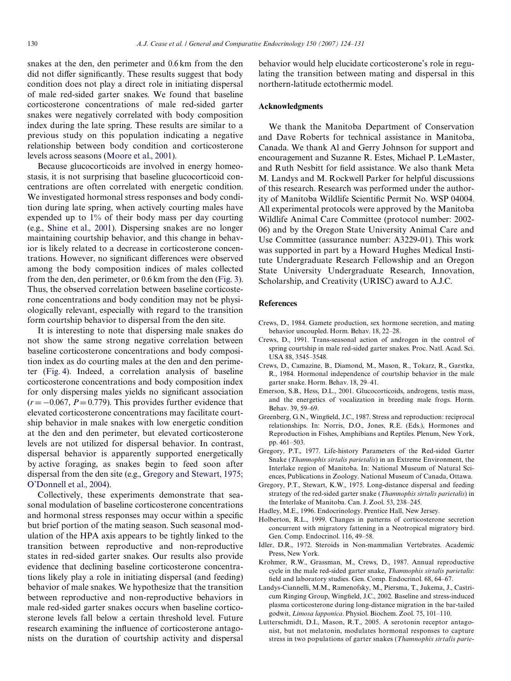snakes at the den, den perimeter and 0.6 km from the den did not differ significantly. These results suggest that body condition does not play a direct role in initiating dispersal of male red-sided garter snakes. We found that baseline corticosterone concentrations of male red-sided garter snakes were negatively correlated with body composition index during the late spring. These results are similar to a previous study on this population indicating a negative relationship between body condition and corticosterone levels across seasons [\(Moore et al., 2001\)](#page-7-3).

Because glucocorticoids are involved in energy homeostasis, it is not surprising that baseline glucocorticoid concentrations are often correlated with energetic condition. We investigated hormonal stress responses and body condition during late spring, when actively courting males have expended up to 1% of their body mass per day courting (e.g., [Shine et al., 2001](#page-7-6)). Dispersing snakes are no longer maintaining courtship behavior, and this change in behavior is likely related to a decrease in corticosterone concentrations. However, no significant differences were observed among the body composition indices of males collected from the den, den perimeter, or 0.6 km from the den [\(Fig. 3](#page-4-0)). Thus, the observed correlation between baseline corticosterone concentrations and body condition may not be physiologically relevant, especially with regard to the transition form courtship behavior to dispersal from the den site.

It is interesting to note that dispersing male snakes do not show the same strong negative correlation between baseline corticosterone concentrations and body composition index as do courting males at the den and den perimeter ([Fig. 4\)](#page-4-1). Indeed, a correlation analysis of baseline corticosterone concentrations and body composition index for only dispersing males yields no significant association  $(r = -0.067, P = 0.779)$ . This provides further evidence that elevated corticosterone concentrations may facilitate courtship behavior in male snakes with low energetic condition at the den and den perimeter, but elevated corticosterone levels are not utilized for dispersal behavior. In contrast, dispersal behavior is apparently supported energetically by active foraging, as snakes begin to feed soon after dispersal from the den site (e.g., [Gregory and Stewart, 1975;](#page-6-7) [O'Donnell et al., 2004](#page-6-7)).

Collectively, these experiments demonstrate that seasonal modulation of baseline corticosterone concentrations and hormonal stress responses may occur within a specific but brief portion of the mating season. Such seasonal modulation of the HPA axis appears to be tightly linked to the transition between reproductive and non-reproductive states in red-sided garter snakes. Our results also provide evidence that declining baseline corticosterone concentrations likely play a role in initiating dispersal (and feeding) behavior of male snakes. We hypothesize that the transition between reproductive and non-reproductive behaviors in male red-sided garter snakes occurs when baseline corticosterone levels fall below a certain threshold level. Future research examining the influence of corticosterone antagonists on the duration of courtship activity and dispersal

behavior would help elucidate corticosterone's role in regulating the transition between mating and dispersal in this northern-latitude ectothermic model.

## **Acknowledgments**

We thank the Manitoba Department of Conservation and Dave Roberts for technical assistance in Manitoba, Canada. We thank Al and Gerry Johnson for support and encouragement and Suzanne R. Estes, Michael P. LeMaster, and Ruth Nesbitt for field assistance. We also thank Meta M. Landys and M. Rockwell Parker for helpful discussions of this research. Research was performed under the authority of Manitoba Wildlife Scientific Permit No. WSP 04004. All experimental protocols were approved by the Manitoba Wildlife Animal Care Committee (protocol number: 2002- 06) and by the Oregon State University Animal Care and Use Committee (assurance number: A3229-01). This work was supported in part by a Howard Hughes Medical Institute Undergraduate Research Fellowship and an Oregon State University Undergraduate Research, Innovation, Scholarship, and Creativity (URISC) award to A.J.C.

## **References**

- <span id="page-6-9"></span>Crews, D., 1984. Gamete production, sex hormone secretion, and mating behavior uncoupled. Horm. Behav. 18, 22–28.
- <span id="page-6-10"></span>Crews, D., 1991. Trans-seasonal action of androgen in the control of spring courtship in male red-sided garter snakes. Proc. Natl. Acad. Sci. USA 88, 3545–3548.
- <span id="page-6-5"></span>Crews, D., Camazine, B., Diamond, M., Mason, R., Tokarz, R., Garstka, R., 1984. Hormonal independence of courtship behavior in the male garter snake. Horm. Behav. 18, 29–41.
- <span id="page-6-2"></span>Emerson, S.B., Hess, D.L., 2001. Glucocorticoids, androgens, testis mass, and the energetics of vocalization in breeding male frogs. Horm. Behav. 39, 59–69.
- <span id="page-6-3"></span>Greenberg, G.N., Wingfield, J.C., 1987. Stress and reproduction: reciprocal relationships. In: Norris, D.O., Jones, R.E. (Eds.), Hormones and Reproduction in Fishes, Amphibians and Reptiles. Plenum, New York, pp. 461–503.
- <span id="page-6-6"></span>Gregory, P.T., 1977. Life-history Parameters of the Red-sided Garter Snake (*Thamnophis sirtalis parietalis*) in an Extreme Environment, the Interlake region of Manitoba. In: National Museum of Natural Sciences, Publications in Zoology. National Museum of Canada, Ottawa.
- <span id="page-6-7"></span>Gregory, P.T., Stewart, K.W., 1975. Long-distance dispersal and feeding strategy of the red-sided garter snake (*Thamnophis sirtalis parietalis*) in the Interlake of Manitoba. Can. J. Zool. 53, 238–245.
- <span id="page-6-0"></span>Hadley, M.E., 1996. Endocrinology. Prentice Hall, New Jersey.
- <span id="page-6-1"></span>Holberton, R.L., 1999. Changes in patterns of corticosterone secretion concurrent with migratory fattening in a Neotropical migratory bird. Gen. Comp. Endocrinol. 116, 49–58.
- <span id="page-6-4"></span>Idler, D.R., 1972. Steroids in Non-mammalian Vertebrates. Academic Press, New York.
- <span id="page-6-8"></span>Krohmer, R.W., Grassman, M., Crews, D., 1987. Annual reproductive cycle in the male red-sided garter snake, *Thamnophis sirtalis parietalis*: field and laboratory studies. Gen. Comp. Endocrinol. 68, 64–67.
- Landys-Ciannelli, M.M., Ramenofsky, M., Piersma, T., Jukema, J., Castricum Ringing Group, Wingfield, J.C., 2002. Baseline and stress-induced plasma corticosterone during long-distance migration in the bar-tailed godwit, *Limosa lapponica*. Physiol. Biochem. Zool. 75, 101–110.
- <span id="page-6-11"></span>Lutterschmidt, D.I., Mason, R.T., 2005. A serotonin receptor antagonist, but not melatonin, modulates hormonal responses to capture stress in two populations of garter snakes (*Thamnophis sirtalis parie-*